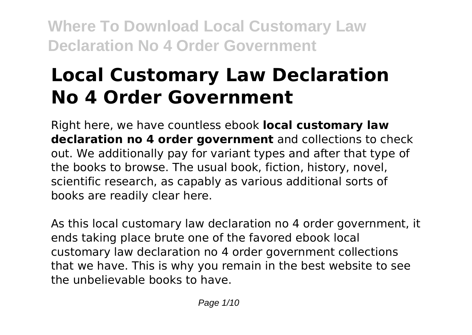# **Local Customary Law Declaration No 4 Order Government**

Right here, we have countless ebook **local customary law declaration no 4 order government** and collections to check out. We additionally pay for variant types and after that type of the books to browse. The usual book, fiction, history, novel, scientific research, as capably as various additional sorts of books are readily clear here.

As this local customary law declaration no 4 order government, it ends taking place brute one of the favored ebook local customary law declaration no 4 order government collections that we have. This is why you remain in the best website to see the unbelievable books to have.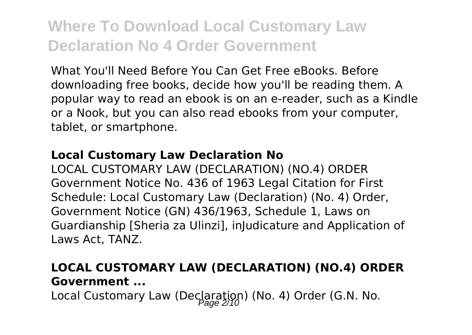What You'll Need Before You Can Get Free eBooks. Before downloading free books, decide how you'll be reading them. A popular way to read an ebook is on an e-reader, such as a Kindle or a Nook, but you can also read ebooks from your computer, tablet, or smartphone.

### **Local Customary Law Declaration No**

LOCAL CUSTOMARY LAW (DECLARATION) (NO.4) ORDER Government Notice No. 436 of 1963 Legal Citation for First Schedule: Local Customary Law (Declaration) (No. 4) Order, Government Notice (GN) 436/1963, Schedule 1, Laws on Guardianship [Sheria za Ulinzi], inJudicature and Application of Laws Act, TANZ.

### **LOCAL CUSTOMARY LAW (DECLARATION) (NO.4) ORDER Government ...**

Local Customary Law (Declaration) (No. 4) Order (G.N. No.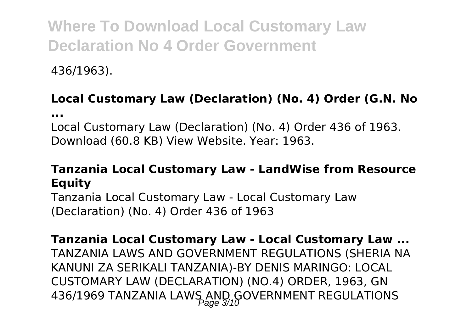436/1963).

### **Local Customary Law (Declaration) (No. 4) Order (G.N. No ...**

Local Customary Law (Declaration) (No. 4) Order 436 of 1963. Download (60.8 KB) View Website. Year: 1963.

### **Tanzania Local Customary Law - LandWise from Resource Equity**

Tanzania Local Customary Law - Local Customary Law (Declaration) (No. 4) Order 436 of 1963

**Tanzania Local Customary Law - Local Customary Law ...** TANZANIA LAWS AND GOVERNMENT REGULATIONS (SHERIA NA KANUNI ZA SERIKALI TANZANIA)-BY DENIS MARINGO: LOCAL CUSTOMARY LAW (DECLARATION) (NO.4) ORDER, 1963, GN 436/1969 TANZANIA LAWS AND GOVERNMENT REGULATIONS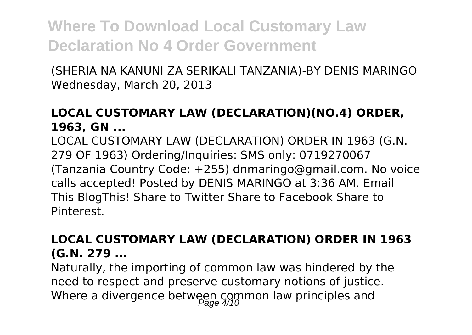(SHERIA NA KANUNI ZA SERIKALI TANZANIA)-BY DENIS MARINGO Wednesday, March 20, 2013

### **LOCAL CUSTOMARY LAW (DECLARATION)(NO.4) ORDER, 1963, GN ...**

LOCAL CUSTOMARY LAW (DECLARATION) ORDER IN 1963 (G.N. 279 OF 1963) Ordering/Inquiries: SMS only: 0719270067 (Tanzania Country Code: +255) dnmaringo@gmail.com. No voice calls accepted! Posted by DENIS MARINGO at 3:36 AM. Email This BlogThis! Share to Twitter Share to Facebook Share to Pinterest.

### **LOCAL CUSTOMARY LAW (DECLARATION) ORDER IN 1963 (G.N. 279 ...**

Naturally, the importing of common law was hindered by the need to respect and preserve customary notions of justice. Where a divergence between common law principles and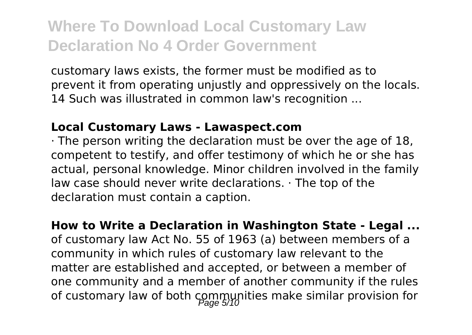customary laws exists, the former must be modified as to prevent it from operating unjustly and oppressively on the locals. 14 Such was illustrated in common law's recognition ...

#### **Local Customary Laws - Lawaspect.com**

· The person writing the declaration must be over the age of 18, competent to testify, and offer testimony of which he or she has actual, personal knowledge. Minor children involved in the family law case should never write declarations. · The top of the declaration must contain a caption.

**How to Write a Declaration in Washington State - Legal ...** of customary law Act No. 55 of 1963 (a) between members of a community in which rules of customary law relevant to the matter are established and accepted, or between a member of one community and a member of another community if the rules of customary law of both communities make similar provision for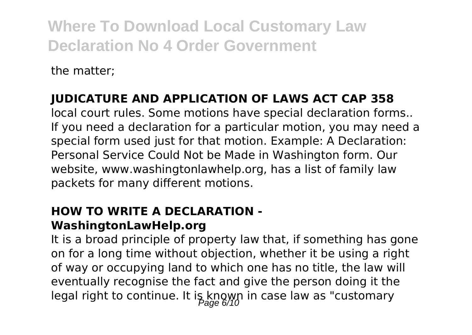the matter;

### **JUDICATURE AND APPLICATION OF LAWS ACT CAP 358**

local court rules. Some motions have special declaration forms.. If you need a declaration for a particular motion, you may need a special form used just for that motion. Example: A Declaration: Personal Service Could Not be Made in Washington form. Our website, www.washingtonlawhelp.org, has a list of family law packets for many different motions.

# **HOW TO WRITE A DECLARATION -**

## **WashingtonLawHelp.org**

It is a broad principle of property law that, if something has gone on for a long time without objection, whether it be using a right of way or occupying land to which one has no title, the law will eventually recognise the fact and give the person doing it the legal right to continue. It is known in case law as "customary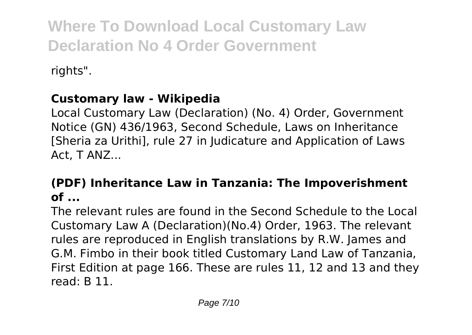rights".

## **Customary law - Wikipedia**

Local Customary Law (Declaration) (No. 4) Order, Government Notice (GN) 436/1963, Second Schedule, Laws on Inheritance [Sheria za Urithi], rule 27 in Judicature and Application of Laws Act, T ANZ...

### **(PDF) Inheritance Law in Tanzania: The Impoverishment of ...**

The relevant rules are found in the Second Schedule to the Local Customary Law A (Declaration)(No.4) Order, 1963. The relevant rules are reproduced in English translations by R.W. James and G.M. Fimbo in their book titled Customary Land Law of Tanzania, First Edition at page 166. These are rules 11, 12 and 13 and they read: B 11.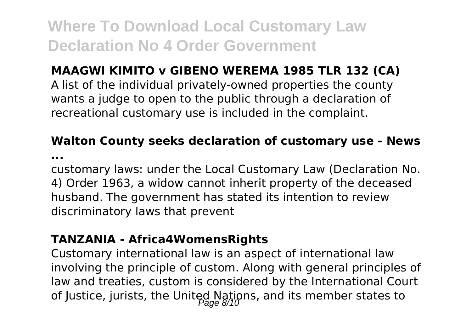### **MAAGWI KIMITO v GIBENO WEREMA 1985 TLR 132 (CA)**

A list of the individual privately-owned properties the county wants a judge to open to the public through a declaration of recreational customary use is included in the complaint.

## **Walton County seeks declaration of customary use - News**

**...**

customary laws: under the Local Customary Law (Declaration No. 4) Order 1963, a widow cannot inherit property of the deceased husband. The government has stated its intention to review discriminatory laws that prevent

#### **TANZANIA - Africa4WomensRights**

Customary international law is an aspect of international law involving the principle of custom. Along with general principles of law and treaties, custom is considered by the International Court of Justice, jurists, the United Nations, and its member states to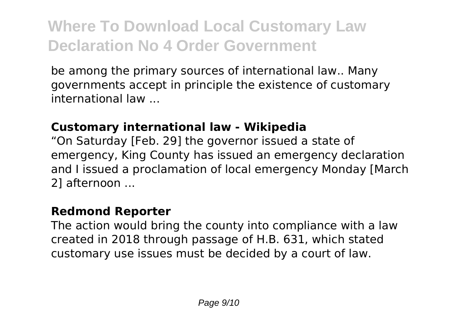be among the primary sources of international law.. Many governments accept in principle the existence of customary international law ...

### **Customary international law - Wikipedia**

"On Saturday [Feb. 29] the governor issued a state of emergency, King County has issued an emergency declaration and I issued a proclamation of local emergency Monday [March 2] afternoon ...

### **Redmond Reporter**

The action would bring the county into compliance with a law created in 2018 through passage of H.B. 631, which stated customary use issues must be decided by a court of law.